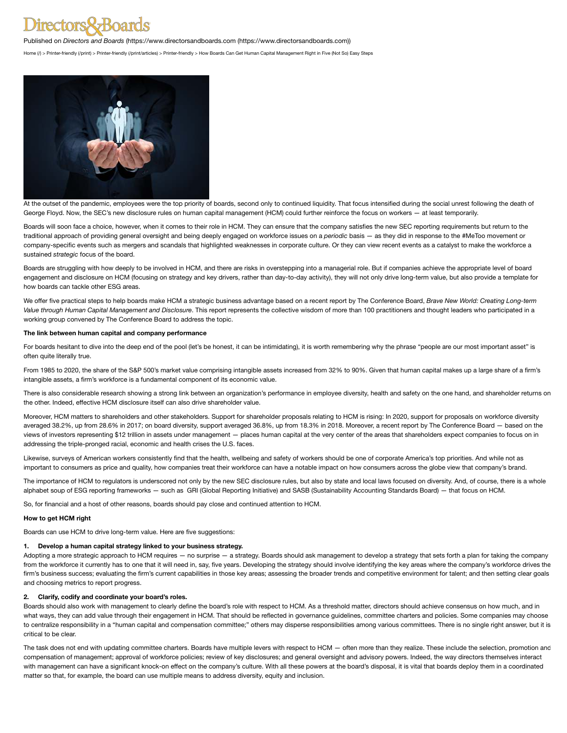# ectors&Boards

Published on *Directors and Boards* ([https://www.directorsandboards.com \(https://www.directorsandboards.com\)](https://www.directorsandboards.com/))

[Home \(/\)](https://www.directorsandboards.com/) > [Printer-friendly \(/print\)](https://www.directorsandboards.com/print) > [Printer-friendly \(/print/articles\)](https://www.directorsandboards.com/print/articles) > Printer-friendly > How Boards Can Get Human Capital Management Right in Five (Not So) Easy Steps



At the outset of the pandemic, employees were the top priority of boards, second only to continued liquidity. That focus intensified during the social unrest following the death of George Floyd. Now, the SEC's new disclosure rules on human capital management (HCM) could further reinforce the focus on workers — at least temporarily.

Boards will soon face a choice, however, when it comes to their role in HCM. They can ensure that the company satisfies the new SEC reporting requirements but return to the traditional approach of providing general oversight and being deeply engaged on workforce issues on a *periodic* basis — as they did in response to the #MeToo movement or company-specific events such as mergers and scandals that highlighted weaknesses in corporate culture. Or they can view recent events as a catalyst to make the workforce a sustained *strategic* focus of the board.

Boards are struggling with how deeply to be involved in HCM, and there are risks in overstepping into a managerial role. But if companies achieve the appropriate level of board engagement and disclosure on HCM (focusing on strategy and key drivers, rather than day-to-day activity), they will not only drive long-term value, but also provide a template for how boards can tackle other ESG areas.

We offer five practical steps to help boards make HCM a strategic business advantage based on a recent report by The Conference Board, *Brave New World: Creating Long-term Value through Human Capital Management and Disclosure*. This report represents the collective wisdom of more than 100 practitioners and thought leaders who participated in a working group convened by The Conference Board to address the topic.

#### **The link between human capital and company performance**

For boards hesitant to dive into the deep end of the pool (let's be honest, it can be intimidating), it is worth remembering why the phrase "people are our most important asset" is often quite literally true.

From 1985 to 2020, the share of the S&P 500's market value comprising intangible assets increased from 32% to 90%. Given that human capital makes up a large share of a firm's intangible assets, a firm's workforce is a fundamental component of its economic value.

There is also considerable research showing a strong link between an organization's performance in employee diversity, health and safety on the one hand, and shareholder returns on the other. Indeed, effective HCM disclosure itself can also drive shareholder value.

Moreover, HCM matters to shareholders and other stakeholders. Support for shareholder proposals relating to HCM is rising: In 2020, support for proposals on workforce diversity averaged 38.2%, up from 28.6% in 2017; on board diversity, support averaged 36.8%, up from 18.3% in 2018. Moreover, a recent report by The Conference Board — based on the views of investors representing \$12 trillion in assets under management — places human capital at the very center of the areas that shareholders expect companies to focus on in addressing the triple-pronged racial, economic and health crises the U.S. faces.

Likewise, surveys of American workers consistently find that the health, wellbeing and safety of workers should be one of corporate America's top priorities. And while not as important to consumers as price and quality, how companies treat their workforce can have a notable impact on how consumers across the globe view that company's brand.

The importance of HCM to regulators is underscored not only by the new SEC disclosure rules, but also by state and local laws focused on diversity. And, of course, there is a whole alphabet soup of ESG reporting frameworks — such as GRI (Global Reporting Initiative) and SASB (Sustainability Accounting Standards Board) — that focus on HCM.

So, for financial and a host of other reasons, boards should pay close and continued attention to HCM.

### **How to get HCM right**

Boards can use HCM to drive long-term value. Here are five suggestions:

#### **1. Develop a human capital strategy linked to your business strategy.**

Adopting a more strategic approach to HCM requires - no surprise - a strategy. Boards should ask management to develop a strategy that sets forth a plan for taking the company from the workforce it currently has to one that it will need in, say, five years. Developing the strategy should involve identifying the key areas where the company's workforce drives the firm's business success; evaluating the firm's current capabilities in those key areas; assessing the broader trends and competitive environment for talent; and then setting clear goals and choosing metrics to report progress.

### **2. Clarify, codify and coordinate your board's roles.**

Boards should also work with management to clearly define the board's role with respect to HCM. As a threshold matter, directors should achieve consensus on how much, and in what ways, they can add value through their engagement in HCM. That should be reflected in governance guidelines, committee charters and policies. Some companies may choose to centralize responsibility in a "human capital and compensation committee;" others may disperse responsibilities among various committees. There is no single right answer, but it is critical to be clear.

The task does not end with updating committee charters. Boards have multiple levers with respect to HCM - often more than they realize. These include the selection, promotion and compensation of management; approval of workforce policies; review of key disclosures; and general oversight and advisory powers. Indeed, the way directors themselves interact with management can have a significant knock-on effect on the company's culture. With all these powers at the board's disposal, it is vital that boards deploy them in a coordinated matter so that, for example, the board can use multiple means to address diversity, equity and inclusion.